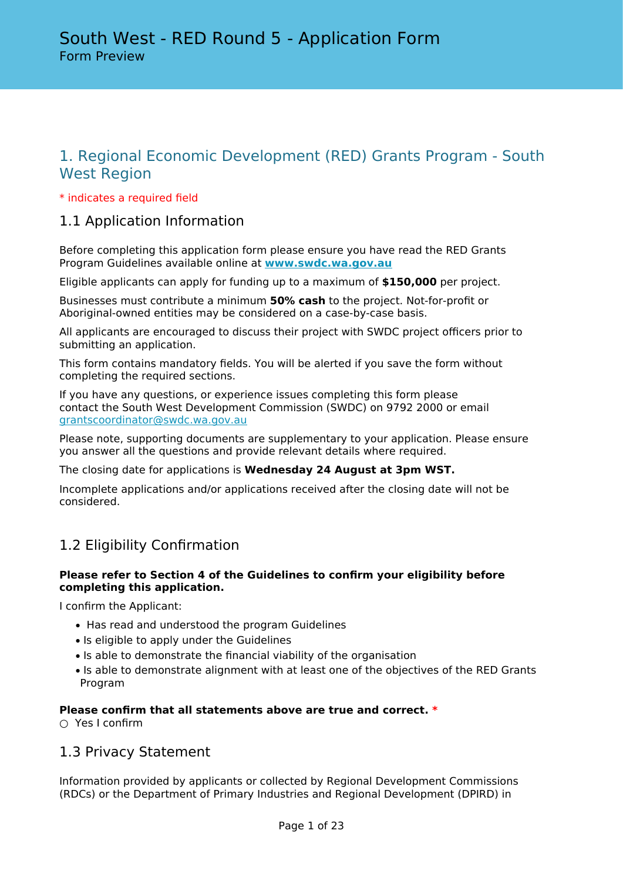# 1. Regional Economic Development (RED) Grants Program - South West Region

## \* indicates a required field

## 1.1 Application Information

Before completing this application form please ensure you have read the RED Grants Program Guidelines available online at **[www.swdc.wa.gov.au](http://www.swdc.wa.gov.au)**

Eligible applicants can apply for funding up to a maximum of **\$150,000** per project.

Businesses must contribute a minimum **50% cash** to the project. Not-for-profit or Aboriginal-owned entities may be considered on a case-by-case basis.

All applicants are encouraged to discuss their project with SWDC project officers prior to submitting an application.

This form contains mandatory fields. You will be alerted if you save the form without completing the required sections.

If you have any questions, or experience issues completing this form please contact the South West Development Commission (SWDC) on 9792 2000 or email [grantscoordinator@swdc.wa.gov.au](mailto:grantscoordinator@swdc.wa.gov.au)

Please note, supporting documents are supplementary to your application. Please ensure you answer all the questions and provide relevant details where required.

The closing date for applications is **Wednesday 24 August at 3pm WST.**

Incomplete applications and/or applications received after the closing date will not be considered.

# 1.2 Eligibility Confirmation

## **Please refer to Section 4 of the Guidelines to confirm your eligibility before completing this application.**

I confirm the Applicant:

- Has read and understood the program Guidelines
- Is eligible to apply under the Guidelines
- Is able to demonstrate the financial viability of the organisation
- Is able to demonstrate alignment with at least one of the objectives of the RED Grants Program

## **Please confirm that all statements above are true and correct. \***

 $\cap$  Yes I confirm

## 1.3 Privacy Statement

Information provided by applicants or collected by Regional Development Commissions (RDCs) or the Department of Primary Industries and Regional Development (DPIRD) in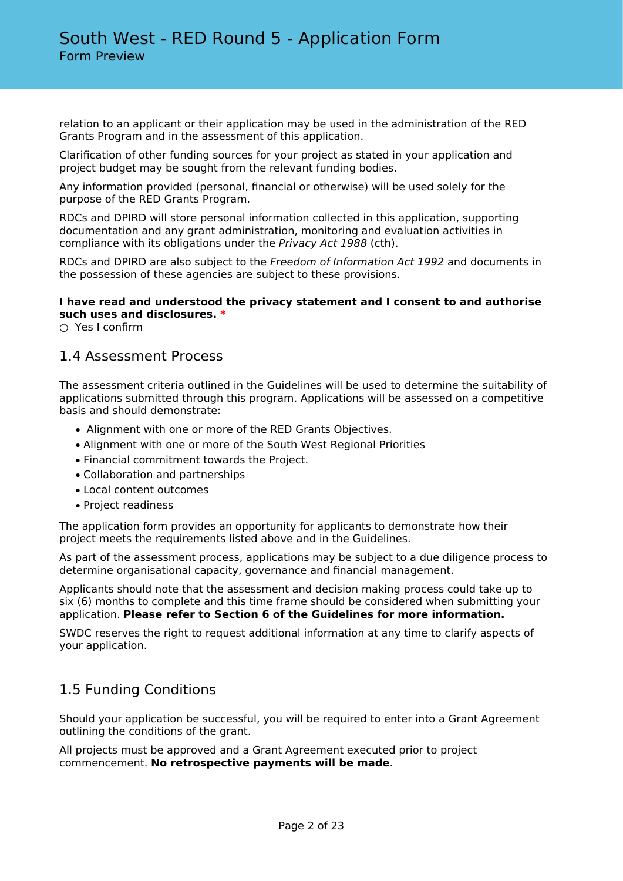relation to an applicant or their application may be used in the administration of the RED Grants Program and in the assessment of this application.

Clarification of other funding sources for your project as stated in your application and project budget may be sought from the relevant funding bodies.

Any information provided (personal, financial or otherwise) will be used solely for the purpose of the RED Grants Program.

RDCs and DPIRD will store personal information collected in this application, supporting documentation and any grant administration, monitoring and evaluation activities in compliance with its obligations under the *Privacy Act 1988* (cth).

RDCs and DPIRD are also subject to the *Freedom of Information Act 1992* and documents in the possession of these agencies are subject to these provisions.

## **I have read and understood the privacy statement and I consent to and authorise such uses and disclosures. \***

○ Yes I confirm

## 1.4 Assessment Process

The assessment criteria outlined in the Guidelines will be used to determine the suitability of applications submitted through this program. Applications will be assessed on a competitive basis and should demonstrate:

- Alignment with one or more of the RED Grants Objectives.
- Alignment with one or more of the South West Regional Priorities
- Financial commitment towards the Project.
- Collaboration and partnerships
- Local content outcomes
- Project readiness

The application form provides an opportunity for applicants to demonstrate how their project meets the requirements listed above and in the Guidelines.

As part of the assessment process, applications may be subject to a due diligence process to determine organisational capacity, governance and financial management.

Applicants should note that the assessment and decision making process could take up to six (6) months to complete and this time frame should be considered when submitting your application. **Please refer to Section 6 of the Guidelines for more information.**

SWDC reserves the right to request additional information at any time to clarify aspects of your application.

## 1.5 Funding Conditions

Should your application be successful, you will be required to enter into a Grant Agreement outlining the conditions of the grant.

All projects must be approved and a Grant Agreement executed prior to project commencement. **No retrospective payments will be made**.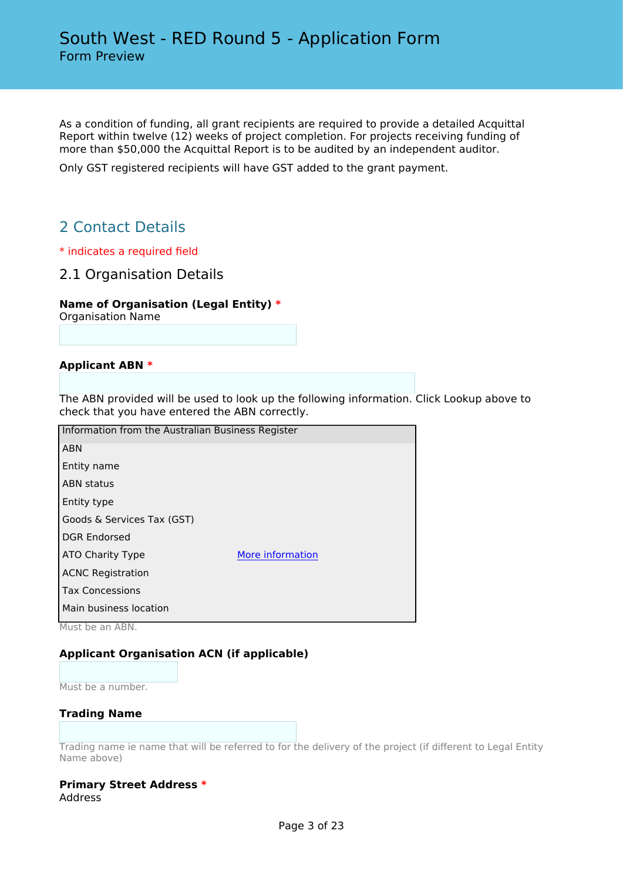As a condition of funding, all grant recipients are required to provide a detailed Acquittal Report within twelve (12) weeks of project completion. For projects receiving funding of more than \$50,000 the Acquittal Report is to be audited by an independent auditor.

Only GST registered recipients will have GST added to the grant payment.

# 2 Contact Details

- \* indicates a required field
- 2.1 Organisation Details

## **Name of Organisation (Legal Entity) \***

Organisation Name

## **Applicant ABN \***

The ABN provided will be used to look up the following information. Click Lookup above to check that you have entered the ABN correctly.

| Information from the Australian Business Register |                  |
|---------------------------------------------------|------------------|
| <b>ABN</b>                                        |                  |
| Entity name                                       |                  |
| <b>ABN status</b>                                 |                  |
| Entity type                                       |                  |
| Goods & Services Tax (GST)                        |                  |
| <b>DGR Endorsed</b>                               |                  |
| ATO Charity Type                                  | More information |
| <b>ACNC Registration</b>                          |                  |
| <b>Tax Concessions</b>                            |                  |
| Main business location                            |                  |
|                                                   |                  |

Must be an ABN.

## **Applicant Organisation ACN (if applicable)**

Must be a number.

## **Trading Name**

Trading name ie name that will be referred to for the delivery of the project (if different to Legal Entity Name above)

#### **Primary Street Address \*** Address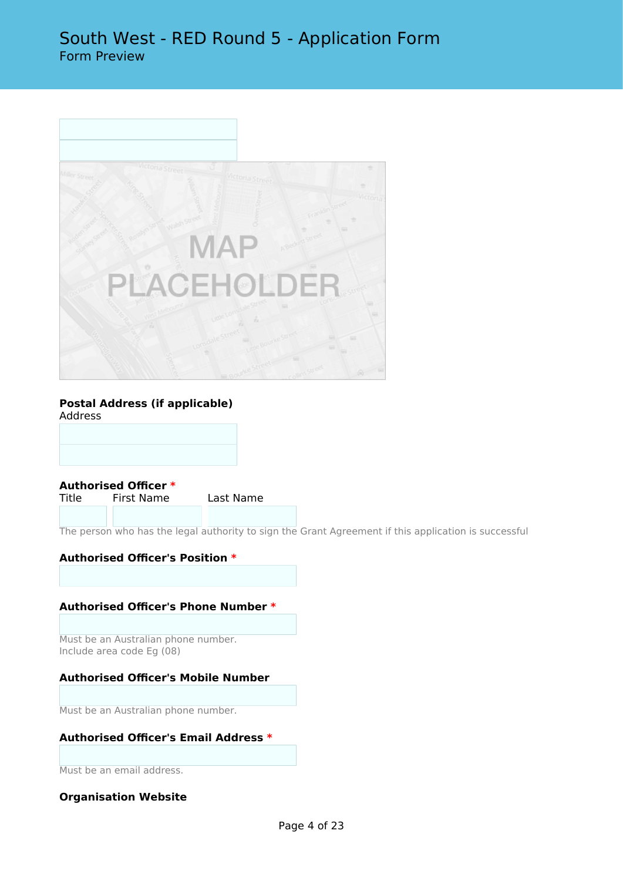

## **Postal Address (if applicable)**

Address

**Authorised Officer \*** First Name Last Name

The person who has the legal authority to sign the Grant Agreement if this application is successful

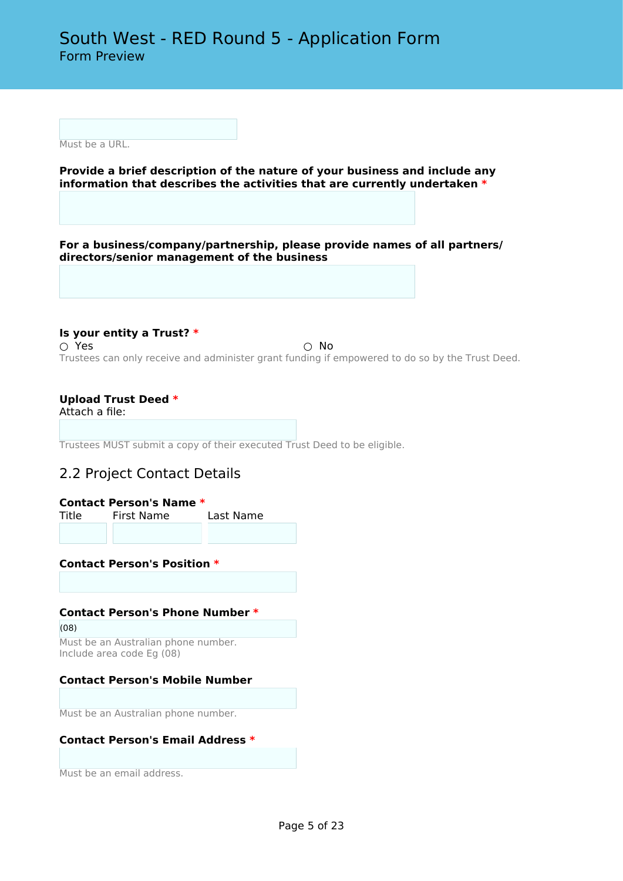Must be a URL.

**Provide a brief description of the nature of your business and include any information that describes the activities that are currently undertaken \***

**For a business/company/partnership, please provide names of all partners/ directors/senior management of the business**

**Is your entity a Trust? \***  $\bigcirc$  Yes  $\bigcirc$  No Trustees can only receive and administer grant funding if empowered to do so by the Trust Deed.

## **Upload Trust Deed \***

Attach a file:

Trustees MUST submit a copy of their executed Trust Deed to be eligible.

## 2.2 Project Contact Details

| <b>Contact Person's Name *</b> |            |           |  |  |  |  |  |
|--------------------------------|------------|-----------|--|--|--|--|--|
| Title                          | First Name | Last Name |  |  |  |  |  |
|                                |            |           |  |  |  |  |  |

**Contact Person's Position \***

## **Contact Person's Phone Number \***

(08)

Must be an Australian phone number. Include area code Eg (08)

## **Contact Person's Mobile Number**

Must be an Australian phone number.

## **Contact Person's Email Address \***

Must be an email address.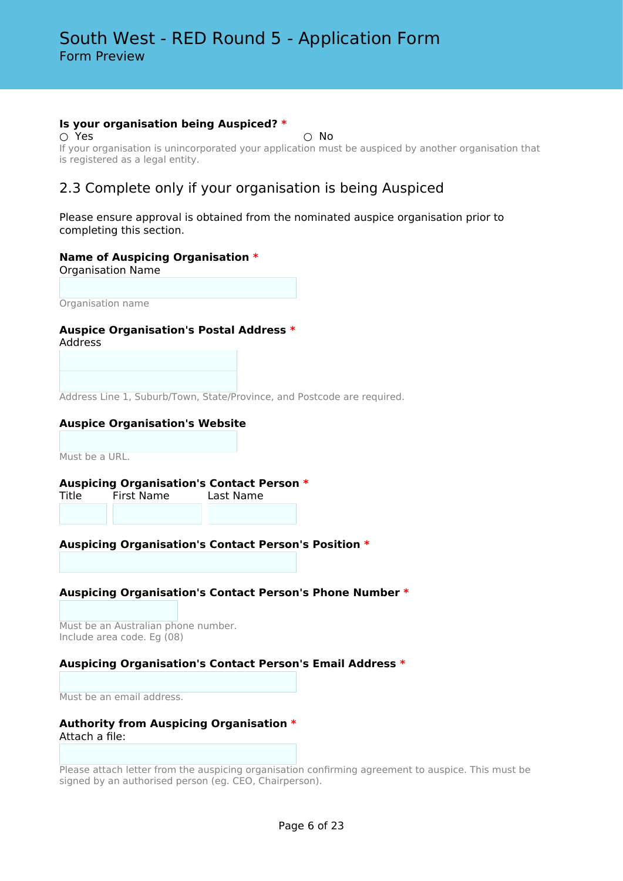## **Is your organisation being Auspiced? \***

 $\bigcirc$  Yes  $\bigcirc$  No

If your organisation is unincorporated your application must be auspiced by another organisation that is registered as a legal entity.

# 2.3 Complete only if your organisation is being Auspiced

Please ensure approval is obtained from the nominated auspice organisation prior to completing this section.

## **Name of Auspicing Organisation \***

Organisation Name

Organisation name

## **Auspice Organisation's Postal Address \***

Address

Address Line 1, Suburb/Town, State/Province, and Postcode are required.

## **Auspice Organisation's Website**

Must be a URL.

# **Auspicing Organisation's Contact Person \***

Title First Name Last Name

## **Auspicing Organisation's Contact Person's Position \***

## **Auspicing Organisation's Contact Person's Phone Number \***

Must be an Australian phone number. Include area code. Eg (08)

## **Auspicing Organisation's Contact Person's Email Address \***

Must be an email address.

## **Authority from Auspicing Organisation \*** Attach a file:

Please attach letter from the auspicing organisation confirming agreement to auspice. This must be signed by an authorised person (eg. CEO, Chairperson).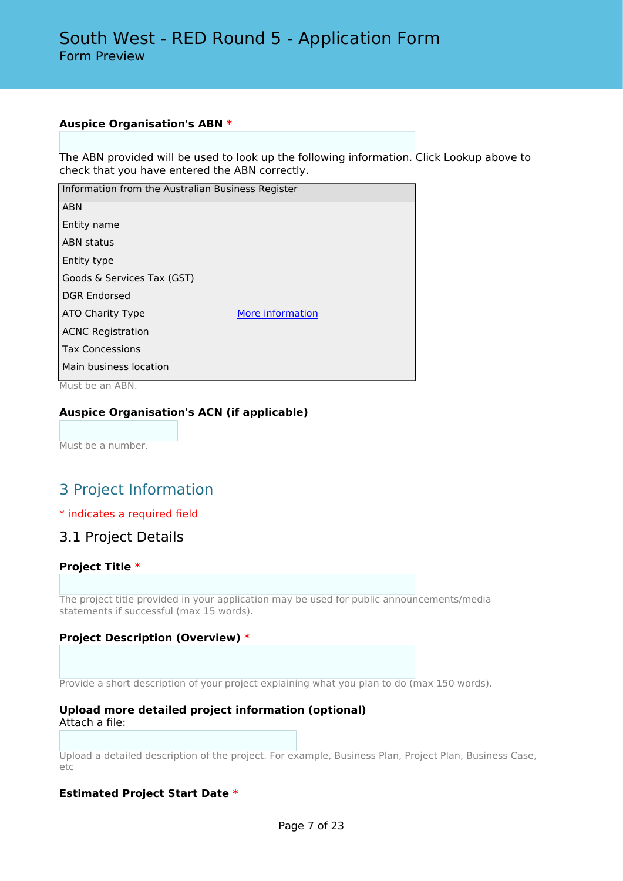## **Auspice Organisation's ABN \***

The ABN provided will be used to look up the following information. Click Lookup above to check that you have entered the ABN correctly.

| Information from the Australian Business Register |                  |
|---------------------------------------------------|------------------|
| <b>ABN</b>                                        |                  |
| Entity name                                       |                  |
| <b>ABN status</b>                                 |                  |
| Entity type                                       |                  |
| Goods & Services Tax (GST)                        |                  |
| <b>DGR Endorsed</b>                               |                  |
| ATO Charity Type                                  | More information |
| <b>ACNC Registration</b>                          |                  |
| <b>Tax Concessions</b>                            |                  |
| Main business location                            |                  |

Must be an ABN.

## **Auspice Organisation's ACN (if applicable)**

Must be a number.

# 3 Project Information

## \* indicates a required field

## 3.1 Project Details

## **Project Title \***

The project title provided in your application may be used for public announcements/media statements if successful (max 15 words).

## **Project Description (Overview) \***

Provide a short description of your project explaining what you plan to do (max 150 words).

#### **Upload more detailed project information (optional)** Attach a file:

Upload a detailed description of the project. For example, Business Plan, Project Plan, Business Case, etc

## **Estimated Project Start Date \***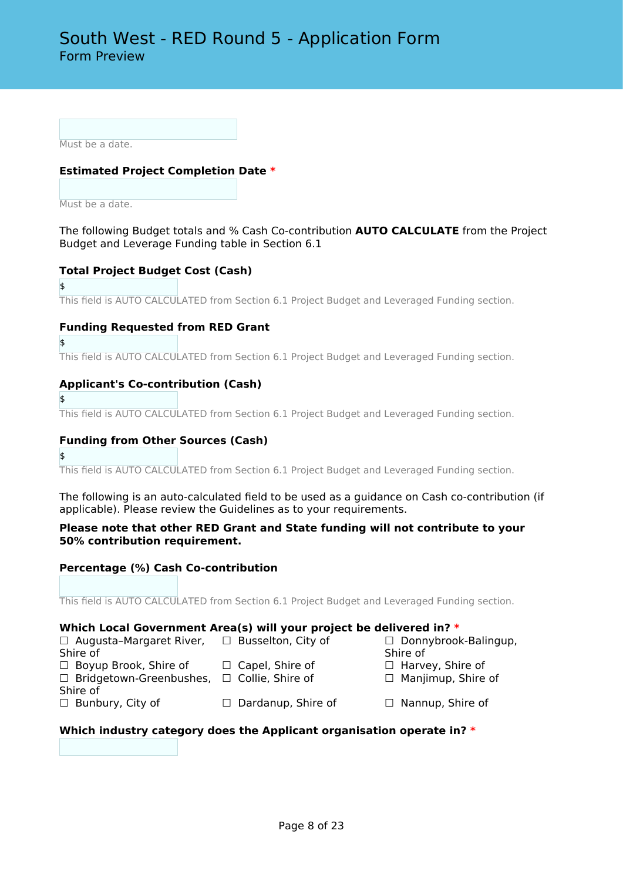Must be a date.

## **Estimated Project Completion Date \***

Must be a date.

The following Budget totals and % Cash Co-contribution **AUTO CALCULATE** from the Project Budget and Leverage Funding table in Section 6.1

## **Total Project Budget Cost (Cash)**

\$

This field is AUTO CALCULATED from Section 6.1 Project Budget and Leveraged Funding section.

## **Funding Requested from RED Grant**

\$

This field is AUTO CALCULATED from Section 6.1 Project Budget and Leveraged Funding section.

## **Applicant's Co-contribution (Cash)**

\$

This field is AUTO CALCULATED from Section 6.1 Project Budget and Leveraged Funding section.

## **Funding from Other Sources (Cash)**

#### \$

This field is AUTO CALCULATED from Section 6.1 Project Budget and Leveraged Funding section.

The following is an auto-calculated field to be used as a guidance on Cash co-contribution (if applicable). Please review the Guidelines as to your requirements.

## **Please note that other RED Grant and State funding will not contribute to your 50% contribution requirement.**

## **Percentage (%) Cash Co-contribution**

This field is AUTO CALCULATED from Section 6.1 Project Budget and Leveraged Funding section.

## **Which Local Government Area(s) will your project be delivered in? \***

| $\Box$ Augusta-Margaret River, | $\Box$ Busselton, City of | □ Donnybrook-Balingup,    |
|--------------------------------|---------------------------|---------------------------|
| Shire of                       |                           | Shire of                  |
| $\Box$ Boyup Brook, Shire of   | $\Box$ Capel, Shire of    | $\Box$ Harvey, Shire of   |
| $\Box$ Bridgetown-Greenbushes, | $\Box$ Collie, Shire of   | $\Box$ Manjimup, Shire of |
| Shire of                       |                           |                           |
| $\Box$ Bunbury, City of        | $\Box$ Dardanup, Shire of | $\Box$ Nannup, Shire of   |

## **Which industry category does the Applicant organisation operate in? \***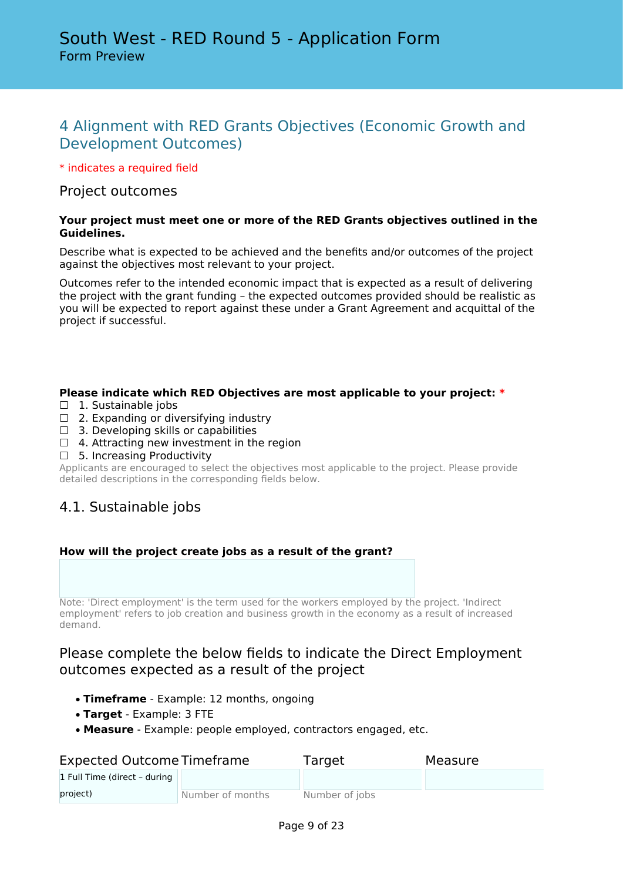# 4 Alignment with RED Grants Objectives (Economic Growth and Development Outcomes)

\* indicates a required field

## Project outcomes

## **Your project must meet one or more of the RED Grants objectives outlined in the Guidelines.**

Describe what is expected to be achieved and the benefits and/or outcomes of the project against the objectives most relevant to your project.

Outcomes refer to the intended economic impact that is expected as a result of delivering the project with the grant funding – the expected outcomes provided should be realistic as you will be expected to report against these under a Grant Agreement and acquittal of the project if successful.

## **Please indicate which RED Objectives are most applicable to your project: \***

- □ 1. Sustainable jobs
- $\Box$  2. Expanding or diversifying industry
- $\Box$  3. Developing skills or capabilities
- $\Box$  4. Attracting new investment in the region
- $\Box$  5. Increasing Productivity

Applicants are encouraged to select the objectives most applicable to the project. Please provide detailed descriptions in the corresponding fields below.

## 4.1. Sustainable jobs

## **How will the project create jobs as a result of the grant?**

Note: 'Direct employment' is the term used for the workers employed by the project. 'Indirect employment' refers to job creation and business growth in the economy as a result of increased demand.

## Please complete the below fields to indicate the Direct Employment outcomes expected as a result of the project

- **Timeframe** Example: 12 months, ongoing
- **Target** Example: 3 FTE
- **Measure** Example: people employed, contractors engaged, etc.

| <b>Expected Outcome Timeframe</b> |                  | Target         | Measure |
|-----------------------------------|------------------|----------------|---------|
| 1 Full Time (direct - during      |                  |                |         |
| project)                          | Number of months | Number of jobs |         |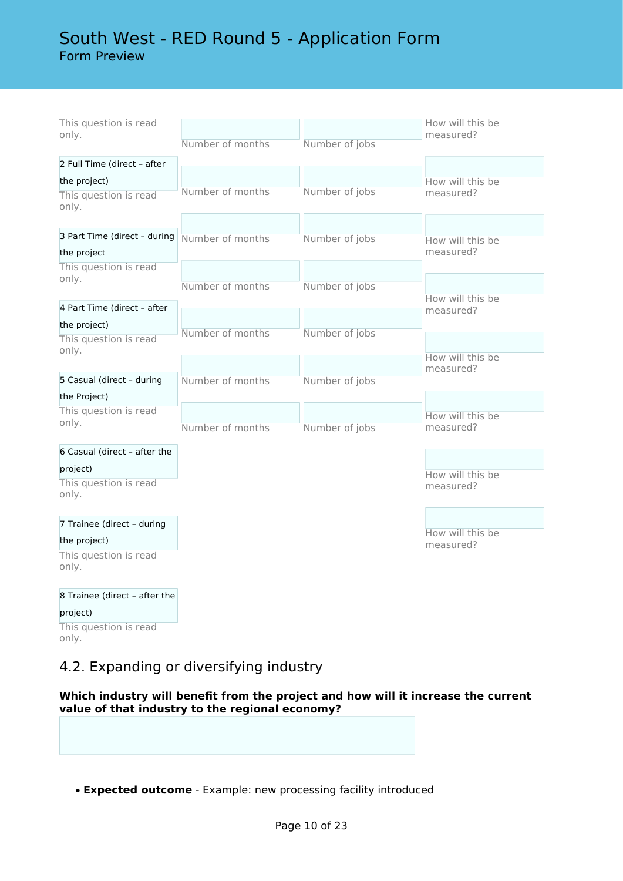# South West - RED Round 5 - Application Form Form Preview

| This question is read<br>only.    |                  |                | How will this be<br>measured? |
|-----------------------------------|------------------|----------------|-------------------------------|
|                                   | Number of months | Number of jobs |                               |
| 2 Full Time (direct - after       |                  |                |                               |
| the project)                      |                  |                | How will this be              |
| This question is read<br>only.    | Number of months | Number of jobs | measured?                     |
|                                   |                  |                |                               |
| 3 Part Time (direct - during      | Number of months | Number of jobs | How will this be              |
| the project                       |                  |                | measured?                     |
| This question is read             |                  |                |                               |
| only.                             | Number of months | Number of jobs |                               |
| 4 Part Time (direct - after       |                  |                | How will this be              |
| the project)                      |                  |                | measured?                     |
| This question is read             | Number of months | Number of jobs |                               |
| only.                             |                  |                | How will this be              |
|                                   |                  |                | measured?                     |
| 5 Casual (direct - during         | Number of months | Number of jobs |                               |
| the Project)                      |                  |                |                               |
| This question is read             |                  |                | How will this be              |
| only.                             | Number of months | Number of jobs | measured?                     |
| 6 Casual (direct - after the      |                  |                |                               |
|                                   |                  |                |                               |
| project)<br>This question is read |                  |                | How will this be              |
| only.                             |                  |                | measured?                     |
| 7 Trainee (direct - during        |                  |                |                               |
| the project)                      |                  |                | How will this be<br>measured? |
| This question is read<br>only.    |                  |                |                               |
| 8 Trainee (direct - after the     |                  |                |                               |
| project)                          |                  |                |                               |
| This question is read<br>only.    |                  |                |                               |

# 4.2. Expanding or diversifying industry

**Which industry will benefit from the project and how will it increase the current value of that industry to the regional economy?**

• **Expected outcome** - Example: new processing facility introduced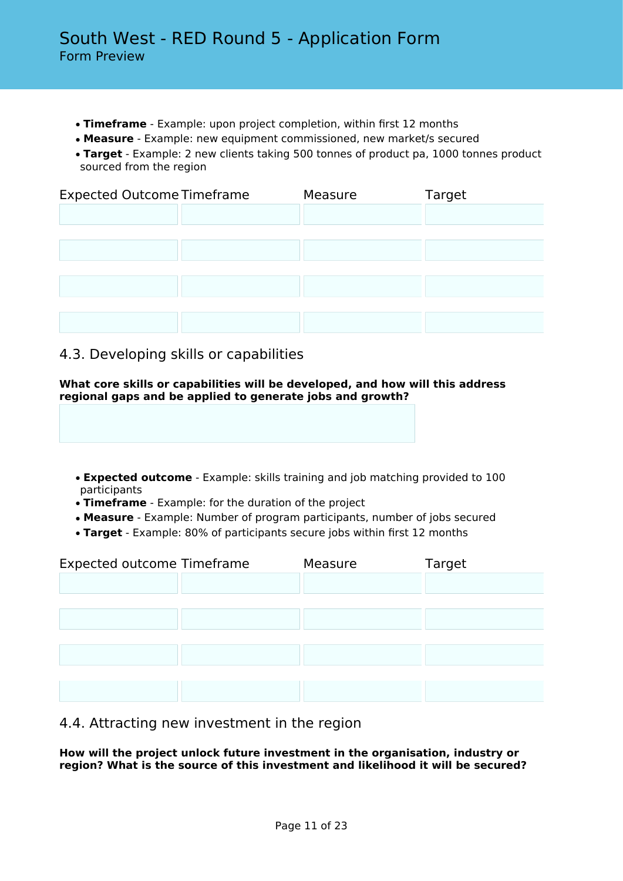- **Timeframe** Example: upon project completion, within first 12 months
- **Measure** Example: new equipment commissioned, new market/s secured
- **Target** Example: 2 new clients taking 500 tonnes of product pa, 1000 tonnes product sourced from the region

| <b>Expected Outcome Timeframe</b> | Measure | Target |  |
|-----------------------------------|---------|--------|--|
|                                   |         |        |  |
|                                   |         |        |  |
|                                   |         |        |  |
|                                   |         |        |  |
|                                   |         |        |  |
|                                   |         |        |  |

## 4.3. Developing skills or capabilities

**What core skills or capabilities will be developed, and how will this address regional gaps and be applied to generate jobs and growth?**

- **Expected outcome** Example: skills training and job matching provided to 100 participants
- **Timeframe** Example: for the duration of the project
- **Measure** Example: Number of program participants, number of jobs secured
- **Target** Example: 80% of participants secure jobs within first 12 months

| <b>Expected outcome Timeframe</b> |  | Measure | Target |  |
|-----------------------------------|--|---------|--------|--|
|                                   |  |         |        |  |
|                                   |  |         |        |  |
|                                   |  |         |        |  |
|                                   |  |         |        |  |
|                                   |  |         |        |  |
|                                   |  |         |        |  |
|                                   |  |         |        |  |

## 4.4. Attracting new investment in the region

**How will the project unlock future investment in the organisation, industry or region? What is the source of this investment and likelihood it will be secured?**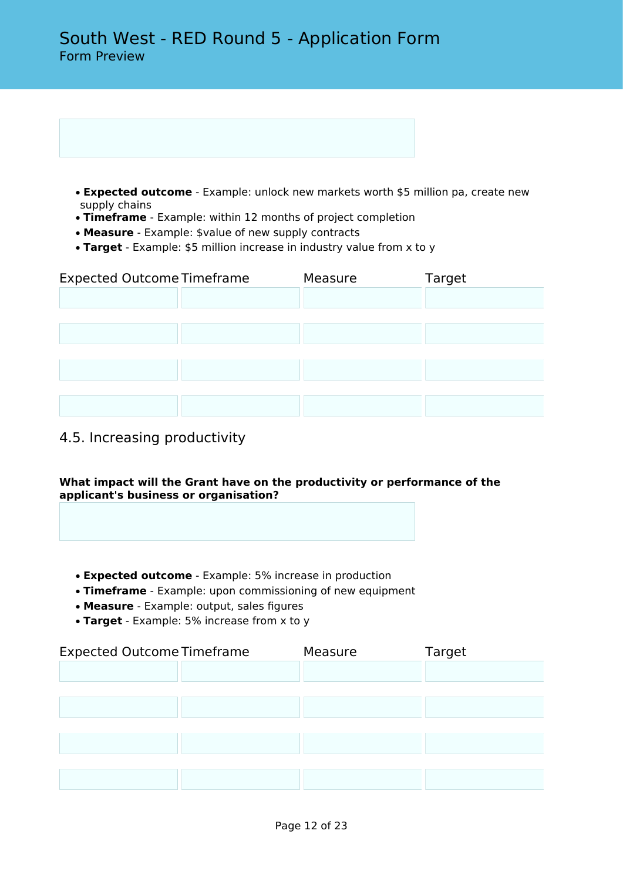| • Expected outcome - Example: unlock new markets worth \$5 million pa, create new |  |  |  |
|-----------------------------------------------------------------------------------|--|--|--|
| supply chains                                                                     |  |  |  |

- **Timeframe** Example: within 12 months of project completion
- **Measure** Example: \$value of new supply contracts
- **Target** Example: \$5 million increase in industry value from x to y

| <b>Expected Outcome Timeframe</b> | Measure | Target |
|-----------------------------------|---------|--------|
|                                   |         |        |
|                                   |         |        |
|                                   |         |        |
|                                   |         |        |
|                                   |         |        |
|                                   |         |        |
|                                   |         |        |

# 4.5. Increasing productivity

## **What impact will the Grant have on the productivity or performance of the applicant's business or organisation?**

- **Expected outcome** Example: 5% increase in production
- **Timeframe** Example: upon commissioning of new equipment
- **Measure** Example: output, sales figures
- **Target** Example: 5% increase from x to y

| <b>Expected Outcome Timeframe</b> | Measure | Target |
|-----------------------------------|---------|--------|
|                                   |         |        |
|                                   |         |        |
|                                   |         |        |
|                                   |         |        |
|                                   |         |        |
|                                   |         |        |
|                                   |         |        |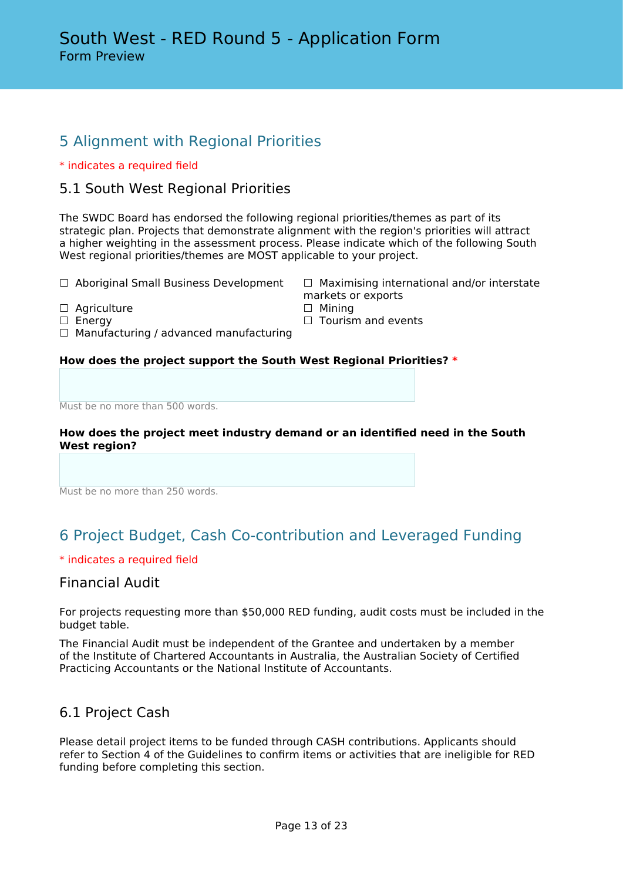# 5 Alignment with Regional Priorities

## \* indicates a required field

## 5.1 South West Regional Priorities

The SWDC Board has endorsed the following regional priorities/themes as part of its strategic plan. Projects that demonstrate alignment with the region's priorities will attract a higher weighting in the assessment process. Please indicate which of the following South West regional priorities/themes are MOST applicable to your project.

markets or exports

- ☐ Aboriginal Small Business Development ☐ Maximising international and/or interstate
- ☐ Agriculture ☐ Mining
- □ Energy □ Senergy □ Tourism and events
- $\Box$  Manufacturing / advanced manufacturing

## **How does the project support the South West Regional Priorities? \***

Must be no more than 500 words.

## **How does the project meet industry demand or an identified need in the South West region?**

Must be no more than 250 words.

# 6 Project Budget, Cash Co-contribution and Leveraged Funding

## \* indicates a required field

## Financial Audit

For projects requesting more than \$50,000 RED funding, audit costs must be included in the budget table.

The Financial Audit must be independent of the Grantee and undertaken by a member of the Institute of Chartered Accountants in Australia, the Australian Society of Certified Practicing Accountants or the National Institute of Accountants.

## 6.1 Project Cash

Please detail project items to be funded through CASH contributions. Applicants should refer to Section 4 of the Guidelines to confirm items or activities that are ineligible for RED funding before completing this section.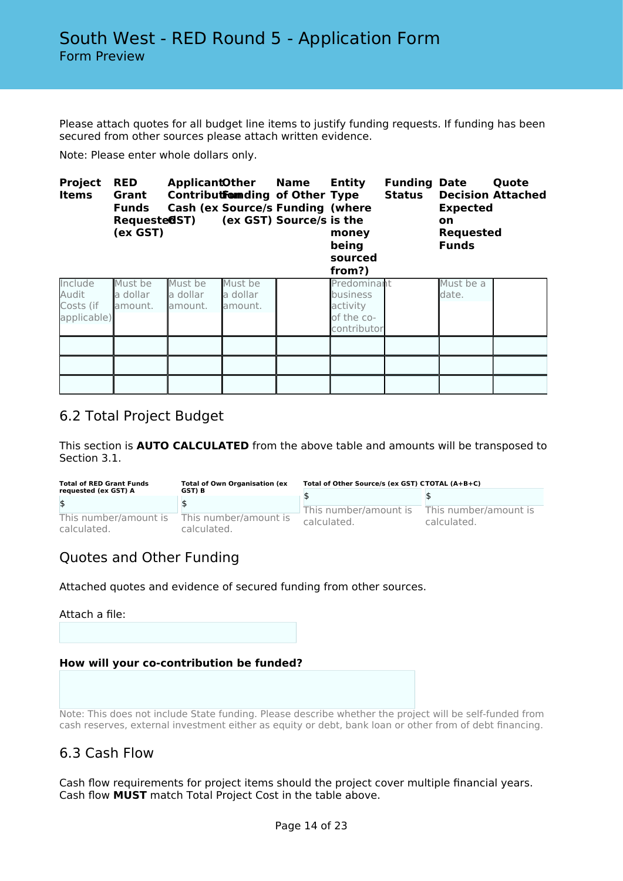Please attach quotes for all budget line items to justify funding requests. If funding has been secured from other sources please attach written evidence.

Note: Please enter whole dollars only.

| <b>Project</b><br><b>Items</b>               | <b>RED</b><br>Grant<br><b>Funds</b><br>Requeste@ST)<br>(ex GST) | <b>Cash (ex Source/s Funding (where</b> |                                | <b>ApplicantOther Name</b><br>Contributformding of Other Type<br>(ex GST) Source/s is the | Entity<br>money<br>being<br>sourced<br>from?)                           | <b>Funding Date</b><br><b>Status</b> | <b>Expected</b><br><b>on</b><br><b>Requested</b><br><b>Funds</b> | Quote<br><b>Decision Attached</b> |
|----------------------------------------------|-----------------------------------------------------------------|-----------------------------------------|--------------------------------|-------------------------------------------------------------------------------------------|-------------------------------------------------------------------------|--------------------------------------|------------------------------------------------------------------|-----------------------------------|
| Include<br>Audit<br>Costs (if<br>applicable) | Must be<br>la dollar<br>lamount.                                | Must be<br>la dollar<br>amount.         | Must be<br>a dollar<br>amount. |                                                                                           | Predominant<br><b>business</b><br>activity<br>of the co-<br>contributor |                                      | Must be a<br>date.                                               |                                   |
|                                              |                                                                 |                                         |                                |                                                                                           |                                                                         |                                      |                                                                  |                                   |
|                                              |                                                                 |                                         |                                |                                                                                           |                                                                         |                                      |                                                                  |                                   |

## 6.2 Total Project Budget

This section is **AUTO CALCULATED** from the above table and amounts will be transposed to Section 3.1.

| <b>Total of RED Grant Funds</b>      | <b>Total of Own Organisation (ex</b> | Total of Other Source/s (ex GST) CTOTAL (A+B+C) |                                      |
|--------------------------------------|--------------------------------------|-------------------------------------------------|--------------------------------------|
| requested (ex GST) A                 | GST) B                               |                                                 |                                      |
| \$                                   |                                      | This number/amount is<br>calculated.            | This number/amount is<br>calculated. |
| This number/amount is<br>calculated. | This number/amount is<br>calculated. |                                                 |                                      |

# Quotes and Other Funding

Attached quotes and evidence of secured funding from other sources.

Attach a file:

## **How will your co-contribution be funded?**

Note: This does not include State funding. Please describe whether the project will be self-funded from cash reserves, external investment either as equity or debt, bank loan or other from of debt financing.

## 6.3 Cash Flow

Cash flow requirements for project items should the project cover multiple financial years. Cash flow **MUST** match Total Project Cost in the table above.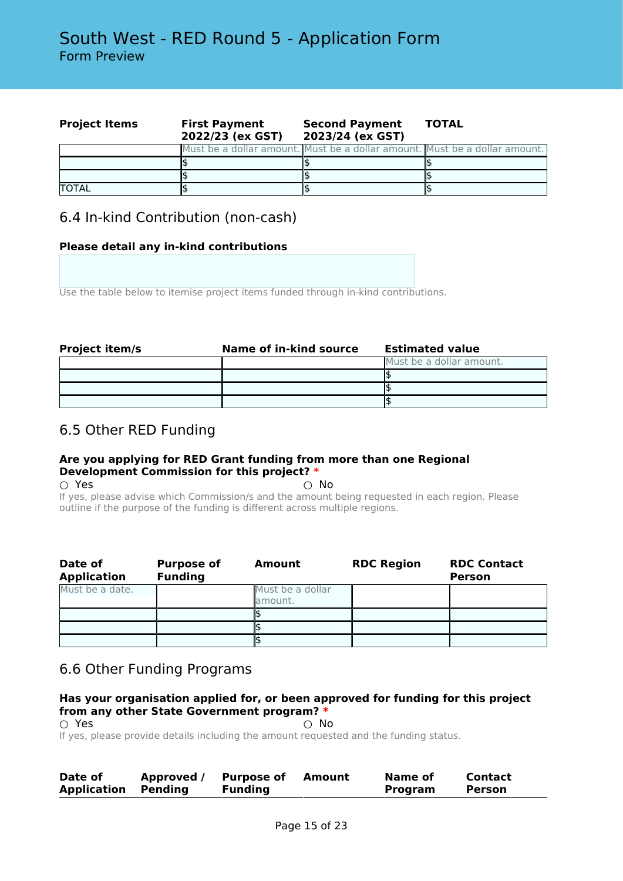| <b>Project Items</b> | <b>First Payment</b><br>2022/23 (ex GST) | <b>Second Payment</b><br>2023/24 (ex GST)                                  | <b>TOTAL</b> |
|----------------------|------------------------------------------|----------------------------------------------------------------------------|--------------|
|                      |                                          | Must be a dollar amount. Must be a dollar amount. Must be a dollar amount. |              |
|                      |                                          |                                                                            |              |
|                      |                                          |                                                                            |              |
| <b>TOTAL</b>         |                                          |                                                                            |              |

## 6.4 In-kind Contribution (non-cash)

## **Please detail any in-kind contributions**

Use the table below to itemise project items funded through in-kind contributions.

| <b>Project item/s</b> | Name of in-kind source | <b>Estimated value</b>   |
|-----------------------|------------------------|--------------------------|
|                       |                        | Must be a dollar amount. |
|                       |                        |                          |
|                       |                        |                          |
|                       |                        |                          |

## 6.5 Other RED Funding

## **Are you applying for RED Grant funding from more than one Regional Development Commission for this project? \***

 $\cap$  Yes  $\cap$  No

If yes, please advise which Commission/s and the amount being requested in each region. Please outline if the purpose of the funding is different across multiple regions.

| Date of<br><b>Application</b> | <b>Purpose of</b><br><b>Funding</b> | Amount                      | <b>RDC Region</b> | <b>RDC Contact</b><br><b>Person</b> |
|-------------------------------|-------------------------------------|-----------------------------|-------------------|-------------------------------------|
| Must be a date.               |                                     | Must be a dollar<br>amount. |                   |                                     |
|                               |                                     |                             |                   |                                     |
|                               |                                     |                             |                   |                                     |
|                               |                                     |                             |                   |                                     |

# 6.6 Other Funding Programs

## **Has your organisation applied for, or been approved for funding for this project from any other State Government program? \***

 $\bigcirc$  Yes  $\bigcirc$  No If yes, please provide details including the amount requested and the funding status.

| Date of            | Approved / | <b>Purpose of</b> | Amount | Name of | Contact |  |
|--------------------|------------|-------------------|--------|---------|---------|--|
| <b>Application</b> | Pendina    | <b>Funding</b>    |        | Program | Person  |  |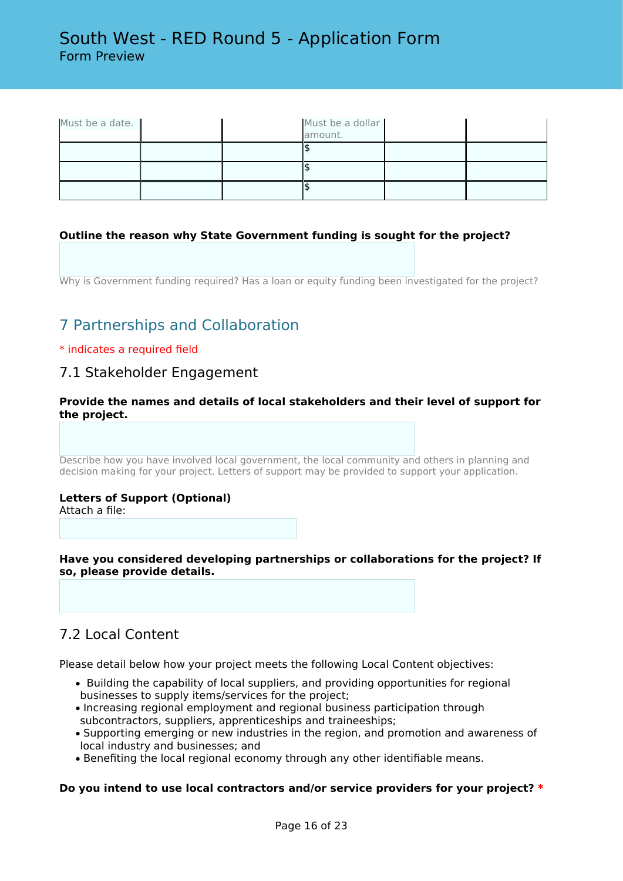| Must be a date. |  | Must be a dollar<br>amount. |  |
|-----------------|--|-----------------------------|--|
|                 |  |                             |  |
|                 |  |                             |  |
|                 |  |                             |  |

## **Outline the reason why State Government funding is sought for the project?**

Why is Government funding required? Has a loan or equity funding been investigated for the project?

# 7 Partnerships and Collaboration

## \* indicates a required field

## 7.1 Stakeholder Engagement

## **Provide the names and details of local stakeholders and their level of support for the project.**

Describe how you have involved local government, the local community and others in planning and decision making for your project. Letters of support may be provided to support your application.

## **Letters of Support (Optional)**

Attach a file:

**Have you considered developing partnerships or collaborations for the project? If so, please provide details.**

## 7.2 Local Content

Please detail below how your project meets the following Local Content objectives:

- Building the capability of local suppliers, and providing opportunities for regional businesses to supply items/services for the project;
- Increasing regional employment and regional business participation through subcontractors, suppliers, apprenticeships and traineeships;
- Supporting emerging or new industries in the region, and promotion and awareness of local industry and businesses; and
- Benefiting the local regional economy through any other identifiable means.

## **Do you intend to use local contractors and/or service providers for your project? \***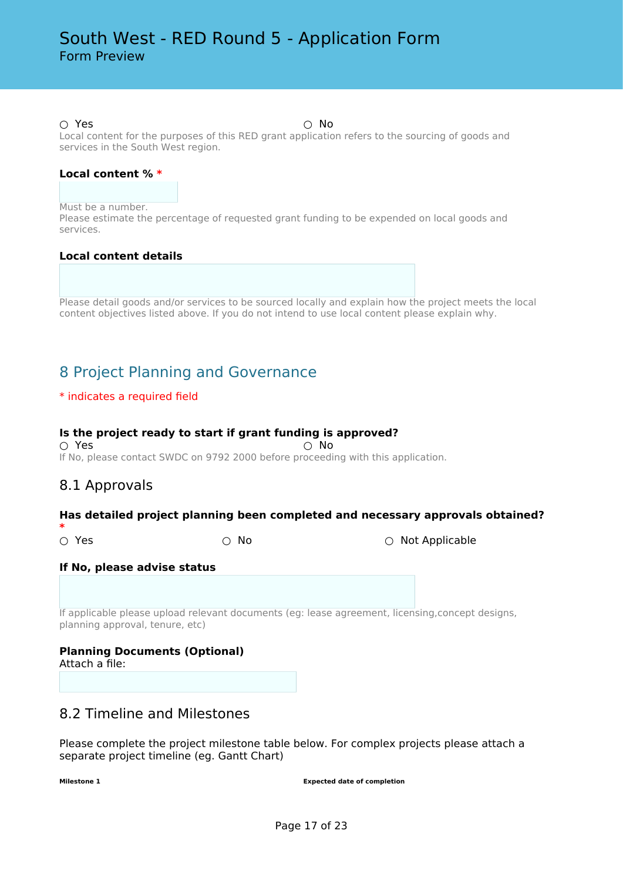#### $\bigcirc$  Yes  $\bigcirc$  No

Local content for the purposes of this RED grant application refers to the sourcing of goods and services in the South West region.

#### **Local content % \***

Must be a number.

Please estimate the percentage of requested grant funding to be expended on local goods and services.

#### **Local content details**

Please detail goods and/or services to be sourced locally and explain how the project meets the local content objectives listed above. If you do not intend to use local content please explain why.

# 8 Project Planning and Governance

## \* indicates a required field

## **Is the project ready to start if grant funding is approved?**

 $\bigcirc$  Yes  $\bigcirc$  No If No, please contact SWDC on 9792 2000 before proceeding with this application.

## 8.1 Approvals

## **Has detailed project planning been completed and necessary approvals obtained?**

**\***

○ Yes ○ No ○ Not Applicable

## **If No, please advise status**

If applicable please upload relevant documents (eg: lease agreement, licensing,concept designs, planning approval, tenure, etc)

# **Planning Documents (Optional)**

Attach a file:

## 8.2 Timeline and Milestones

Please complete the project milestone table below. For complex projects please attach a separate project timeline (eg. Gantt Chart)

**Milestone 1 Expected date of completion**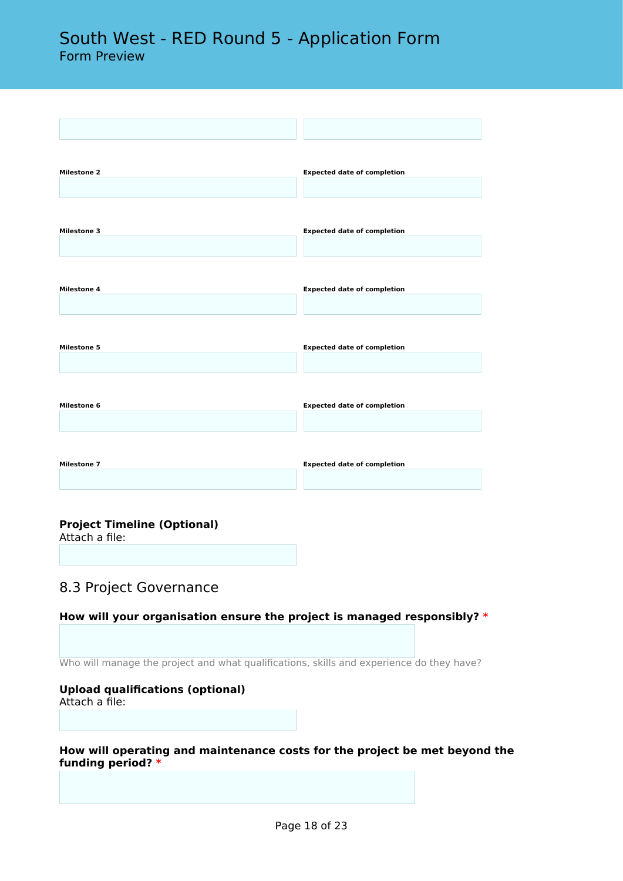| <b>Milestone 2</b> | <b>Expected date of completion</b> |
|--------------------|------------------------------------|
|                    |                                    |
|                    |                                    |
| <b>Milestone 3</b> | <b>Expected date of completion</b> |
|                    |                                    |
|                    |                                    |
| Milestone 4        | <b>Expected date of completion</b> |
|                    |                                    |
|                    |                                    |
| <b>Milestone 5</b> | <b>Expected date of completion</b> |
|                    |                                    |
|                    |                                    |
| Milestone 6        | <b>Expected date of completion</b> |
|                    |                                    |
|                    |                                    |
| <b>Milestone 7</b> | <b>Expected date of completion</b> |
|                    |                                    |

## **Project Timeline (Optional)**

Attach a file:

## 8.3 Project Governance

## **How will your organisation ensure the project is managed responsibly? \***

Who will manage the project and what qualifications, skills and experience do they have?

## **Upload qualifications (optional)**

Attach a file:

**How will operating and maintenance costs for the project be met beyond the funding period? \***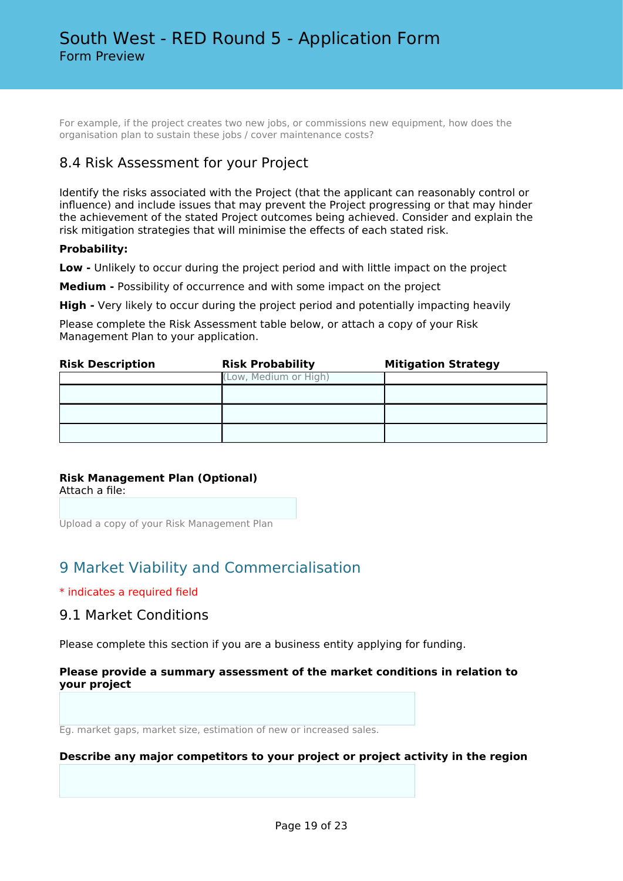For example, if the project creates two new jobs, or commissions new equipment, how does the organisation plan to sustain these jobs / cover maintenance costs?

## 8.4 Risk Assessment for your Project

Identify the risks associated with the Project (that the applicant can reasonably control or influence) and include issues that may prevent the Project progressing or that may hinder the achievement of the stated Project outcomes being achieved. Consider and explain the risk mitigation strategies that will minimise the effects of each stated risk.

## **Probability:**

**Low -** Unlikely to occur during the project period and with little impact on the project

**Medium -** Possibility of occurrence and with some impact on the project

**High -** Very likely to occur during the project period and potentially impacting heavily

Please complete the Risk Assessment table below, or attach a copy of your Risk Management Plan to your application.

| <b>Risk Description</b> | <b>Risk Probability</b> | <b>Mitigation Strategy</b> |
|-------------------------|-------------------------|----------------------------|
|                         | (Low, Medium or High)   |                            |
|                         |                         |                            |
|                         |                         |                            |
|                         |                         |                            |

## **Risk Management Plan (Optional)**

Attach a file:

Upload a copy of your Risk Management Plan

# 9 Market Viability and Commercialisation

## \* indicates a required field

## 9.1 Market Conditions

Please complete this section if you are a business entity applying for funding.

## **Please provide a summary assessment of the market conditions in relation to your project**

Eg. market gaps, market size, estimation of new or increased sales.

## **Describe any major competitors to your project or project activity in the region**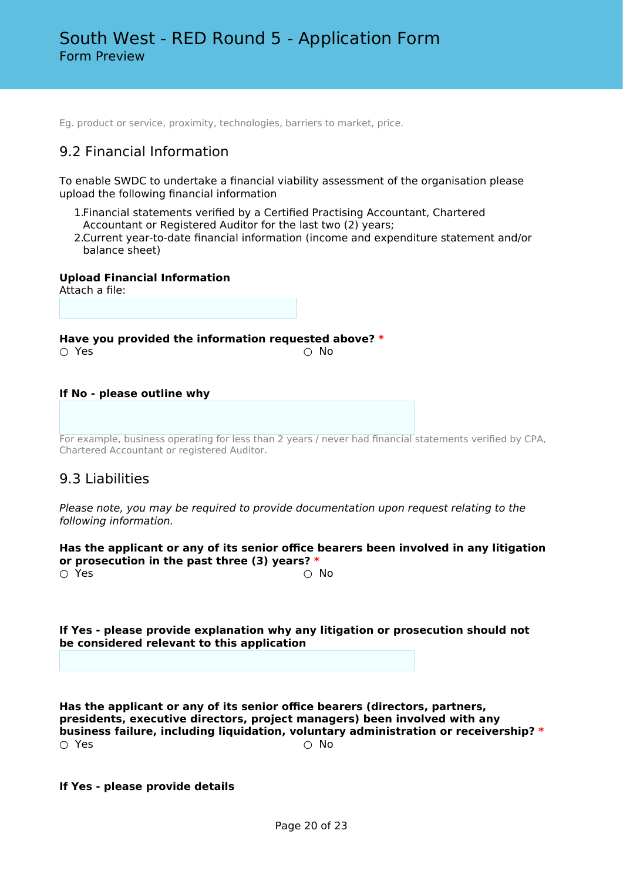Eg. product or service, proximity, technologies, barriers to market, price.

# 9.2 Financial Information

To enable SWDC to undertake a financial viability assessment of the organisation please upload the following financial information

- 1.Financial statements verified by a Certified Practising Accountant, Chartered Accountant or Registered Auditor for the last two (2) years;
- 2.Current year-to-date financial information (income and expenditure statement and/or balance sheet)

**Upload Financial Information**

Attach a file:

**Have you provided the information requested above? \***  $\cap$  Yes  $\cap$  No

#### **If No - please outline why**

For example, business operating for less than 2 years / never had financial statements verified by CPA, Chartered Accountant or registered Auditor.

## 9.3 Liabilities

*Please note, you may be required to provide documentation upon request relating to the following information.*

**Has the applicant or any of its senior office bearers been involved in any litigation or prosecution in the past three (3) years? \***

 $\bigcirc$  Yes  $\bigcirc$  No

**If Yes - please provide explanation why any litigation or prosecution should not be considered relevant to this application**

**Has the applicant or any of its senior office bearers (directors, partners, presidents, executive directors, project managers) been involved with any business failure, including liquidation, voluntary administration or receivership? \***  $\bigcirc$  Yes  $\bigcirc$  No

**If Yes - please provide details**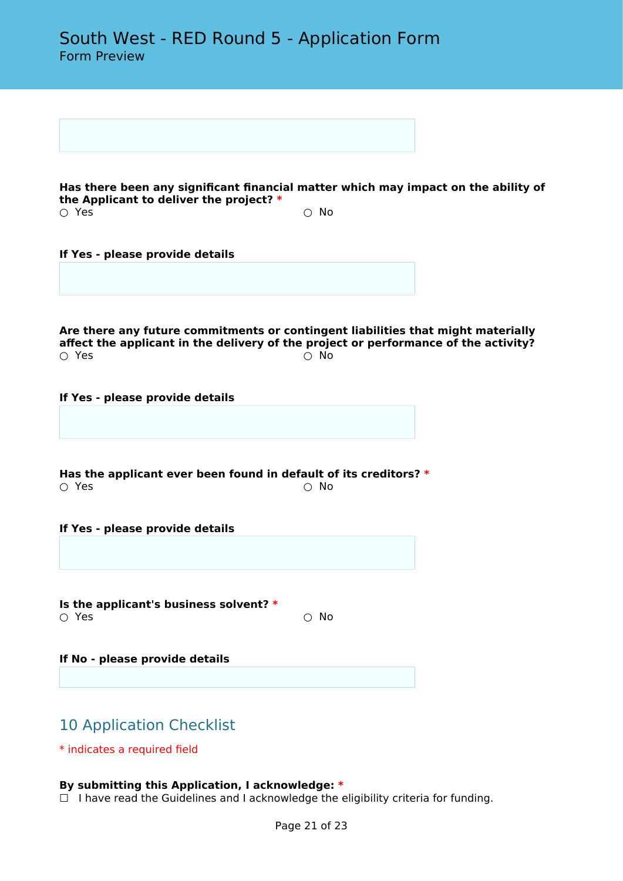**Has there been any significant financial matter which may impact on the ability of the Applicant to deliver the project? \*** ○ Yes ○ No

**If Yes - please provide details**

**Are there any future commitments or contingent liabilities that might materially affect the applicant in the delivery of the project or performance of the activity?**  $\bigcirc$  Yes  $\bigcirc$  No

**If Yes - please provide details**

**Has the applicant ever been found in default of its creditors? \*** ○ Yes ○ No

**If Yes - please provide details**

**Is the applicant's business solvent? \***  $\circlearrowright$  Yes  $\circlearrowright$  No.

**If No - please provide details**

# 10 Application Checklist

\* indicates a required field

## **By submitting this Application, I acknowledge: \***

 $\Box$  I have read the Guidelines and I acknowledge the eligibility criteria for funding.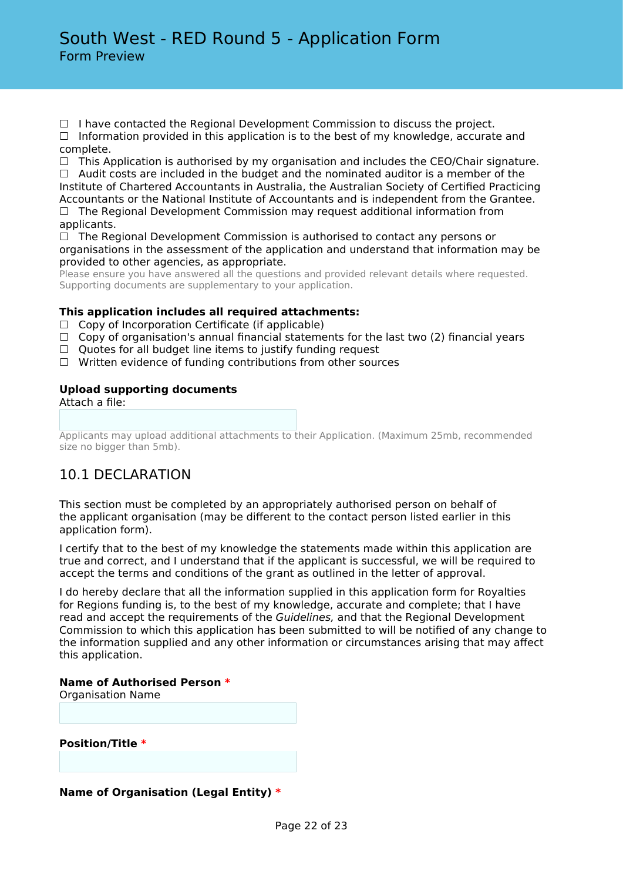$\Box$  I have contacted the Regional Development Commission to discuss the project.

 $\Box$  Information provided in this application is to the best of my knowledge, accurate and complete.

 $\Box$  This Application is authorised by my organisation and includes the CEO/Chair signature.

 $\Box$  Audit costs are included in the budget and the nominated auditor is a member of the Institute of Chartered Accountants in Australia, the Australian Society of Certified Practicing Accountants or the National Institute of Accountants and is independent from the Grantee.

□ The Regional Development Commission may request additional information from applicants.

 $\Box$  The Regional Development Commission is authorised to contact any persons or organisations in the assessment of the application and understand that information may be provided to other agencies, as appropriate.

Please ensure you have answered all the questions and provided relevant details where requested. Supporting documents are supplementary to your application.

## **This application includes all required attachments:**

- $\Box$  Copy of Incorporation Certificate (if applicable)
- $\Box$  Copy of organisation's annual financial statements for the last two (2) financial years
- $\Box$  Quotes for all budget line items to justify funding request
- ☐ Written evidence of funding contributions from other sources

## **Upload supporting documents**

Attach a file:

Applicants may upload additional attachments to their Application. (Maximum 25mb, recommended size no bigger than 5mb).

# 10.1 DECLARATION

This section must be completed by an appropriately authorised person on behalf of the applicant organisation (may be different to the contact person listed earlier in this application form).

I certify that to the best of my knowledge the statements made within this application are true and correct, and I understand that if the applicant is successful, we will be required to accept the terms and conditions of the grant as outlined in the letter of approval.

I do hereby declare that all the information supplied in this application form for Royalties for Regions funding is, to the best of my knowledge, accurate and complete; that I have read and accept the requirements of the *Guidelines,* and that the Regional Development Commission to which this application has been submitted to will be notified of any change to the information supplied and any other information or circumstances arising that may affect this application.

## **Name of Authorised Person \***

Organisation Name

**Position/Title \***

## **Name of Organisation (Legal Entity) \***